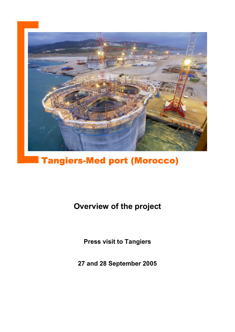

# Tangiers-Med port (Morocco)

# **Overview of the project**

**Press visit to Tangiers**

**27 and 28 September 2005**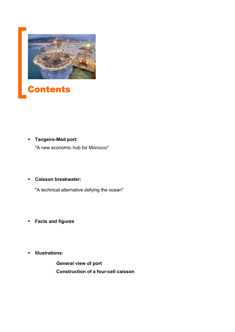



 **Tangeirs-Med port:** "A new economic hub for Morocco"

## **Caisson breakwater:**

"A technical alternative defying the ocean"

- **Facts and figures**
- **Illustrations:** 
	- **General view of port**
	- **Construction of a four-cell caisson**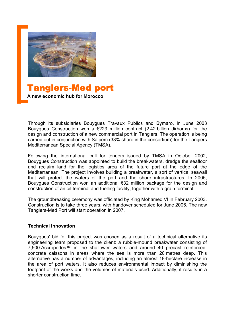

Tangiers-Med port **A new economic hub for Morocco**

Through its subsidiaries Bouygues Travaux Publics and Bymaro, in June 2003 Bouygues Construction won a  $\epsilon$ 223 million contract (2.42 billion dirhams) for the design and construction of a new commercial port in Tangiers. The operation is being carried out in conjunction with Saipem (33% share in the consortium) for the Tangiers Mediterranean Special Agency (TMSA).

Following the international call for tenders issued by TMSA in October 2002, Bouygues Construction was appointed to build the breakwaters, dredge the seafloor and reclaim land for the logistics area of the future port at the edge of the Mediterranean. The project involves building a breakwater, a sort of vertical seawall that will protect the waters of the port and the shore infrastructures. In 2005, Bouygues Construction won an additional €32 million package for the design and construction of an oil terminal and fuelling facility, together with a grain terminal.

The groundbreaking ceremony was officiated by King Mohamed VI in February 2003. Construction is to take three years, with handover scheduled for June 2006. The new Tangiers-Med Port will start operation in 2007.

#### **Technical innovation**

Bouygues' bid for this project was chosen as a result of a technical alternative its engineering team proposed to the client: a rubble-mound breakwater consisting of 7,500 Accropodes™ in the shallower waters and around 40 precast reinforcedconcrete caissons in areas where the sea is more than 20 metres deep. This alternative has a number of advantages, including an almost 18-hectare increase in the area of port waters. It also reduces environmental impact by diminishing the footprint of the works and the volumes of materials used. Additionally, it results in a shorter construction time.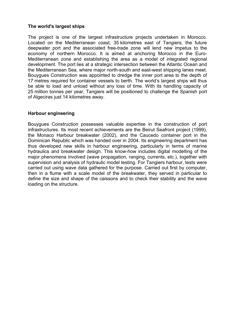#### **The world's largest ships**

The project is one of the largest infrastructure projects undertaken in Morocco. Located on the Mediterranean coast, 35 kilometres east of Tangiers, the future deepwater port and the associated free-trade zone will lend new impetus to the economy of northern Morocco. It is aimed at anchoring Morocco in the Euro-Mediterranean zone and establishing the area as a model of integrated regional development. The port lies at a strategic intersection between the Atlantic Ocean and the Mediterranean Sea, where major north-south and east-west shipping lanes meet. Bouygues Construction was appointed to dredge the inner port area to the depth of 17 metres required for container vessels to berth. The world's largest ships will thus be able to load and unload without any loss of time. With its handling capacity of 25 million tonnes per year, Tangiers will be positioned to challenge the Spanish port of Algeciras just 14 kilometres away.

#### **Harbour engineering**

Bouygues Construction possesses valuable expertise in the construction of port infrastructures. Its most recent achievements are the Beirut Seafront project (1999), the Monaco Harbour breakwater (2002), and the Caucedo container port in the Dominican Republic which was handed over in 2004. Its engineering department has thus developed new skills in harbour engineering, particularly in terms of marine hydraulics and breakwater design. This know-how includes digital modelling of the major phenomena involved (wave propagation, ranging, currents, etc.), together with supervision and analysis of hydraulic model testing. For Tangiers harbour, tests were carried out using wave data gathered for the purpose. Carried out first by computer, then in a flume with a scale model of the breakwater, they served in particular to define the size and shape of the caissons and to check their stability and the wave loading on the structure.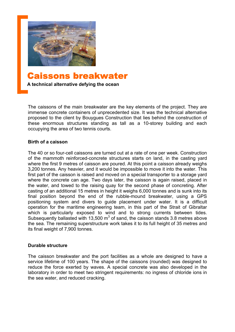

# Caissons breakwater

**A technical alternative defying the ocean**

The caissons of the main breakwater are the key elements of the project. They are immense concrete containers of unprecedented size. It was the technical alternative proposed to the client by Bouygues Construction that lies behind the construction of these enormous structures standing as tall as a 10-storey building and each occupying the area of two tennis courts.

#### **Birth of a caisson**

The 40 or so four-cell caissons are turned out at a rate of one per week. Construction of the mammoth reinforced-concrete structures starts on land, in the casting yard where the first 9 metres of caisson are poured. At this point a caisson already weighs 3,200 tonnes. Any heavier, and it would be impossible to move it into the water. This first part of the caisson is raised and moved on a special transporter to a storage yard where the concrete can age. Two days later, the caisson is again raised, placed in the water, and towed to the raising quay for the second phase of concreting. After casting of an additional 15 metres in height it weighs 6,000 tonnes and is sunk into its final position beyond the end of the rubble-mound breakwater, using a GPS positioning system and divers to guide placement under water. It is a difficult operation for the maritime engineering team, in this part of the Strait of Gibraltar which is particularly exposed to wind and to strong currents between tides. Subsequently ballasted with 13,500  $m<sup>3</sup>$  of sand, the caisson stands 3.8 metres above the sea. The remaining superstructure work takes it to its full height of 35 metres and its final weight of 7,900 tonnes.

#### **Durable structure**

The caisson breakwater and the port facilities as a whole are designed to have a service lifetime of 100 years. The shape of the caissons (rounded) was designed to reduce the force exerted by waves. A special concrete was also developed in the laboratory in order to meet two stringent requirements: no ingress of chloride ions in the sea water, and reduced cracking.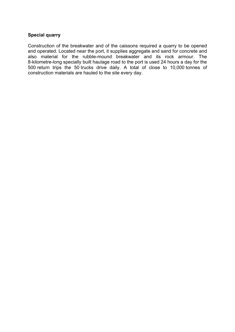### **Special quarry**

Construction of the breakwater and of the caissons required a quarry to be opened and operated. Located near the port, it supplies aggregate and sand for concrete and also material for the rubble-mound breakwater and its rock armour. The 8-kilometre-long specially built haulage road to the port is used 24 hours a day for the 500 return trips the 50 trucks drive daily. A total of close to 10,000 tonnes of construction materials are hauled to the site every day.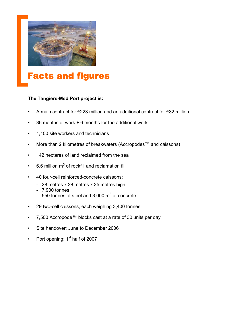



#### **The Tangiers-Med Port project is:**

- A main contract for €223 million and an additional contract for €32 million
- 36 months of work + 6 months for the additional work
- 1,100 site workers and technicians
- More than 2 kilometres of breakwaters (Accropodes™ and caissons)
- 142 hectares of land reclaimed from the sea
- $\cdot$  6.6 million m<sup>3</sup> of rockfill and reclamation fill
- 40 four-cell reinforced-concrete caissons:
	- 28 metres x 28 metres x 35 metres high
	- 7,900 tonnes
	- $-$  550 tonnes of steel and 3,000 m<sup>3</sup> of concrete
- 29 two-cell caissons, each weighing 3,400 tonnes
- 7,500 Accropode™ blocks cast at a rate of 30 units per day
- Site handover: June to December 2006
- Port opening:  $1<sup>st</sup>$  half of 2007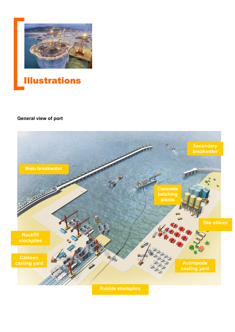

# **Illustrations**

## **General view of port**